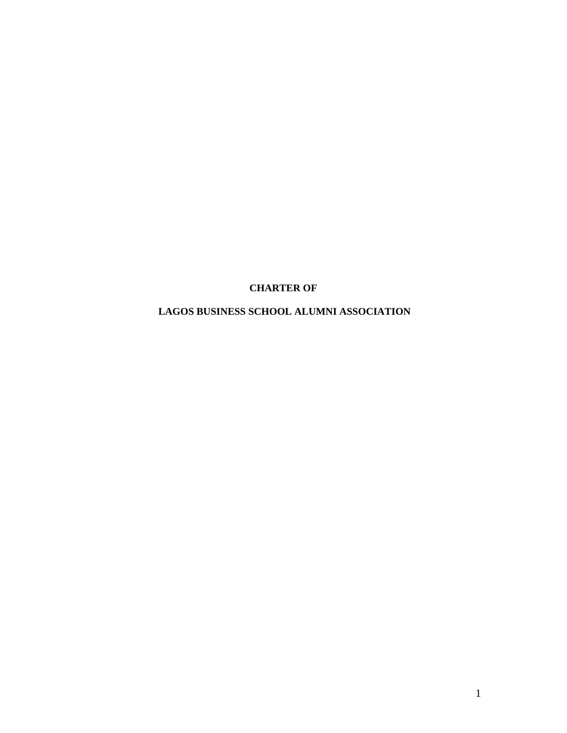# **CHARTER OF**

# **LAGOS BUSINESS SCHOOL ALUMNI ASSOCIATION**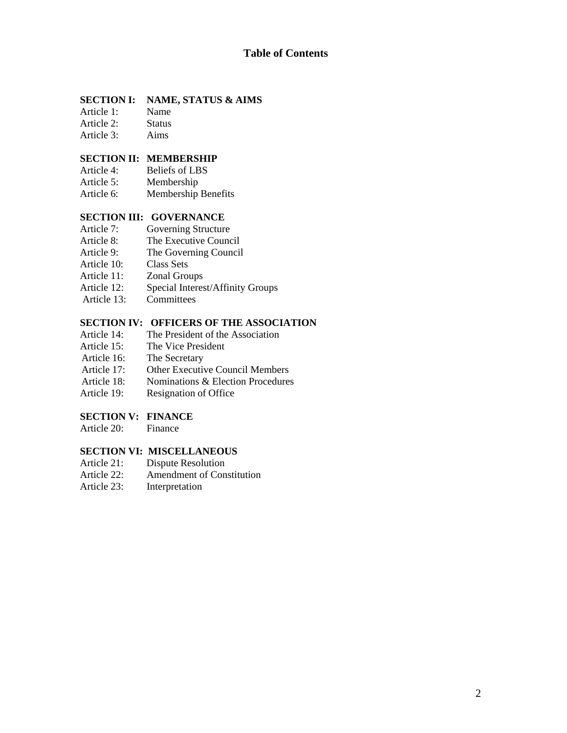### **SECTION I: NAME, STATUS & AIMS**

Article 1: Name Article 2: Status

- Article 3: Aims
- 

# **SECTION II: MEMBERSHIP**

- Article 4: Beliefs of LBS
- Article 5: Membership
- Article 6: Membership Benefits

### **SECTION III: GOVERNANCE**

- Article 7: Governing Structure
- Article 8: The Executive Council
- Article 9: The Governing Council
- Article 10: Class Sets
- Article 11: Zonal Groups
- Article 12: Special Interest/Affinity Groups
- Article 13: Committees

### **SECTION IV: OFFICERS OF THE ASSOCIATION**

- Article 14: The President of the Association<br>Article 15: The Vice President
- The Vice President
- Article 16: The Secretary
- Article 17: Other Executive Council Members
- Article 18: Nominations & Election Procedures<br>Article 19: Resignation of Office
- Resignation of Office

### **SECTION V: FINANCE**

Article 20: Finance

### **SECTION VI: MISCELLANEOUS**

- Article 21: Dispute Resolution
- Article 22: Amendment of Constitution
- Article 23: Interpretation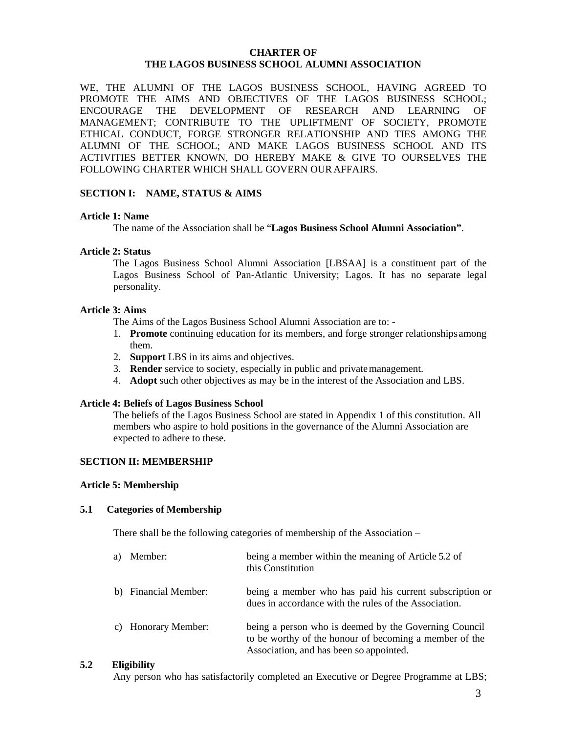### **CHARTER OF THE LAGOS BUSINESS SCHOOL ALUMNI ASSOCIATION**

WE, THE ALUMNI OF THE LAGOS BUSINESS SCHOOL, HAVING AGREED TO PROMOTE THE AIMS AND OBJECTIVES OF THE LAGOS BUSINESS SCHOOL; ENCOURAGE THE DEVELOPMENT OF RESEARCH AND LEARNING OF MANAGEMENT; CONTRIBUTE TO THE UPLIFTMENT OF SOCIETY, PROMOTE ETHICAL CONDUCT, FORGE STRONGER RELATIONSHIP AND TIES AMONG THE ALUMNI OF THE SCHOOL; AND MAKE LAGOS BUSINESS SCHOOL AND ITS ACTIVITIES BETTER KNOWN, DO HEREBY MAKE & GIVE TO OURSELVES THE FOLLOWING CHARTER WHICH SHALL GOVERN OUR AFFAIRS.

### **SECTION I: NAME, STATUS & AIMS**

#### **Article 1: Name**

The name of the Association shall be "**Lagos Business School Alumni Association"**.

#### **Article 2: Status**

The Lagos Business School Alumni Association [LBSAA] is a constituent part of the Lagos Business School of Pan-Atlantic University; Lagos. It has no separate legal personality.

#### **Article 3: Aims**

The Aims of the Lagos Business School Alumni Association are to: -

- 1. **Promote** continuing education for its members, and forge stronger relationships among them.
- 2. **Support** LBS in its aims and objectives.
- 3. **Render** service to society, especially in public and privatemanagement.
- 4. **Adopt** such other objectives as may be in the interest of the Association and LBS.

#### **Article 4: Beliefs of Lagos Business School**

The beliefs of the Lagos Business School are stated in Appendix 1 of this constitution. All members who aspire to hold positions in the governance of the Alumni Association are expected to adhere to these.

#### **SECTION II: MEMBERSHIP**

#### **Article 5: Membership**

#### **5.1 Categories of Membership**

There shall be the following categories of membership of the Association –

| a) | Member:              | being a member within the meaning of Article 5.2 of<br>this Constitution                                                                                   |
|----|----------------------|------------------------------------------------------------------------------------------------------------------------------------------------------------|
|    | b) Financial Member: | being a member who has paid his current subscription or<br>dues in accordance with the rules of the Association.                                           |
|    | c) Honorary Member:  | being a person who is deemed by the Governing Council<br>to be worthy of the honour of becoming a member of the<br>Association, and has been so appointed. |

#### **5.2 Eligibility**

Any person who has satisfactorily completed an Executive or Degree Programme at LBS;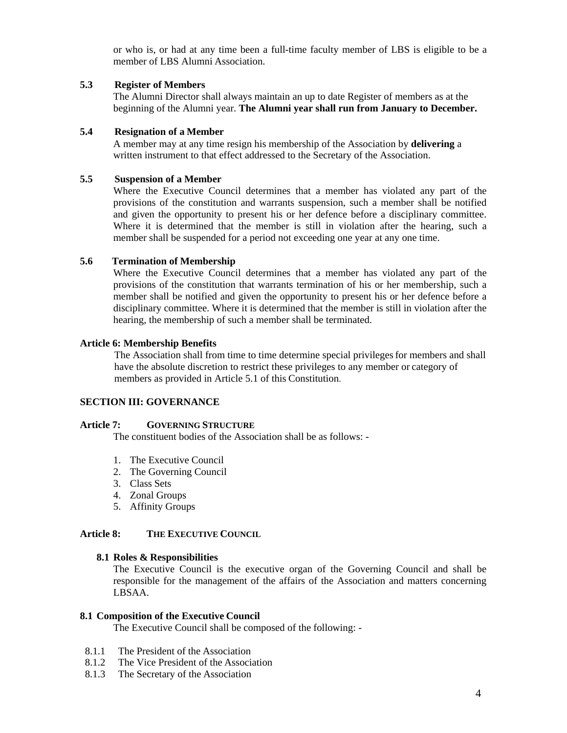or who is, or had at any time been a full-time faculty member of LBS is eligible to be a member of LBS Alumni Association.

### **5.3 Register of Members**

The Alumni Director shall always maintain an up to date Register of members as at the beginning of the Alumni year. **The Alumni year shall run from January to December.**

### **5.4 Resignation of a Member**

A member may at any time resign his membership of the Association by **delivering** a written instrument to that effect addressed to the Secretary of the Association.

### **5.5 Suspension of a Member**

Where the Executive Council determines that a member has violated any part of the provisions of the constitution and warrants suspension, such a member shall be notified and given the opportunity to present his or her defence before a disciplinary committee. Where it is determined that the member is still in violation after the hearing, such a member shall be suspended for a period not exceeding one year at any one time.

### **5.6 Termination of Membership**

Where the Executive Council determines that a member has violated any part of the provisions of the constitution that warrants termination of his or her membership, such a member shall be notified and given the opportunity to present his or her defence before a disciplinary committee. Where it is determined that the member is still in violation after the hearing, the membership of such a member shall be terminated.

### **Article 6: Membership Benefits**

The Association shall from time to time determine special privileges for members and shall have the absolute discretion to restrict these privileges to any member or category of members as provided in Article 5.1 of this Constitution.

# **SECTION III: GOVERNANCE**

#### **Article 7: GOVERNING STRUCTURE**

The constituent bodies of the Association shall be as follows: -

- 1. The Executive Council
- 2. The Governing Council
- 3. Class Sets
- 4. Zonal Groups
- 5. Affinity Groups

### **Article 8: THE EXECUTIVE COUNCIL**

#### **8.1 Roles & Responsibilities**

The Executive Council is the executive organ of the Governing Council and shall be responsible for the management of the affairs of the Association and matters concerning LBSAA.

### **8.1 Composition of the Executive Council**

The Executive Council shall be composed of the following: -

- 8.1.1 The President of the Association
- 8.1.2 The Vice President of the Association
- 8.1.3 The Secretary of the Association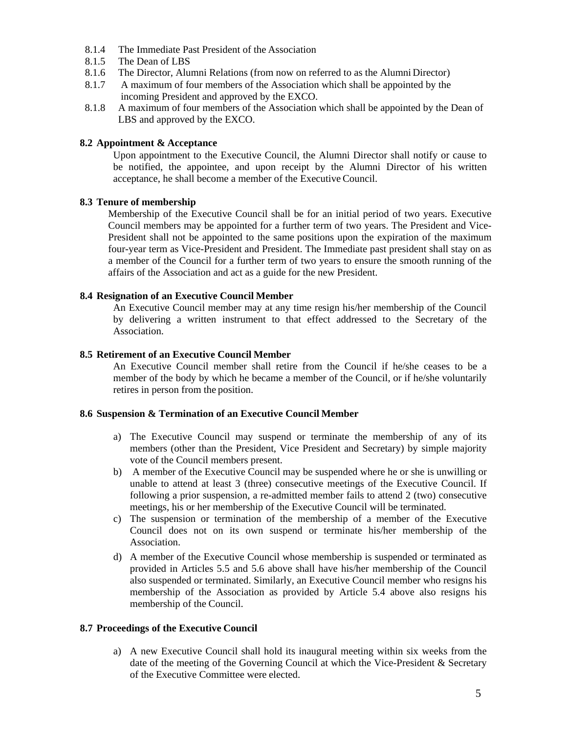- 8.1.4 The Immediate Past President of the Association
- 8.1.5 The Dean of LBS
- 8.1.6 The Director, Alumni Relations (from now on referred to as the Alumni Director)
- 8.1.7 A maximum of four members of the Association which shall be appointed by the incoming President and approved by the EXCO.
- 8.1.8 A maximum of four members of the Association which shall be appointed by the Dean of LBS and approved by the EXCO.

### **8.2 Appointment & Acceptance**

Upon appointment to the Executive Council, the Alumni Director shall notify or cause to be notified, the appointee, and upon receipt by the Alumni Director of his written acceptance, he shall become a member of the Executive Council.

### **8.3 Tenure of membership**

Membership of the Executive Council shall be for an initial period of two years. Executive Council members may be appointed for a further term of two years. The President and Vice-President shall not be appointed to the same positions upon the expiration of the maximum four-year term as Vice-President and President. The Immediate past president shall stay on as a member of the Council for a further term of two years to ensure the smooth running of the affairs of the Association and act as a guide for the new President.

### **8.4 Resignation of an Executive Council Member**

An Executive Council member may at any time resign his/her membership of the Council by delivering a written instrument to that effect addressed to the Secretary of the Association.

### **8.5 Retirement of an Executive Council Member**

An Executive Council member shall retire from the Council if he/she ceases to be a member of the body by which he became a member of the Council, or if he/she voluntarily retires in person from the position.

### **8.6 Suspension & Termination of an Executive Council Member**

- a) The Executive Council may suspend or terminate the membership of any of its members (other than the President, Vice President and Secretary) by simple majority vote of the Council members present.
- b) A member of the Executive Council may be suspended where he or she is unwilling or unable to attend at least 3 (three) consecutive meetings of the Executive Council. If following a prior suspension, a re-admitted member fails to attend 2 (two) consecutive meetings, his or her membership of the Executive Council will be terminated.
- c) The suspension or termination of the membership of a member of the Executive Council does not on its own suspend or terminate his/her membership of the Association.
- d) A member of the Executive Council whose membership is suspended or terminated as provided in Articles 5.5 and 5.6 above shall have his/her membership of the Council also suspended or terminated. Similarly, an Executive Council member who resigns his membership of the Association as provided by Article 5.4 above also resigns his membership of the Council.

# **8.7 Proceedings of the Executive Council**

a) A new Executive Council shall hold its inaugural meeting within six weeks from the date of the meeting of the Governing Council at which the Vice-President & Secretary of the Executive Committee were elected.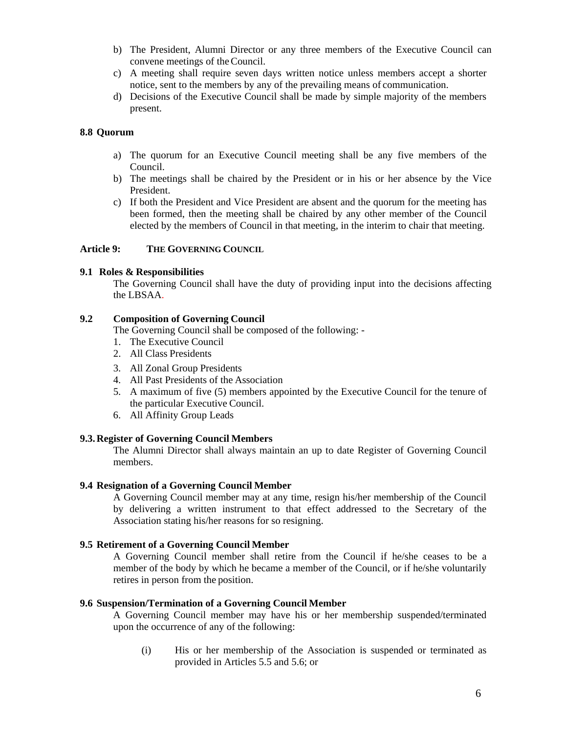- b) The President, Alumni Director or any three members of the Executive Council can convene meetings of theCouncil.
- c) A meeting shall require seven days written notice unless members accept a shorter notice, sent to the members by any of the prevailing means of communication.
- d) Decisions of the Executive Council shall be made by simple majority of the members present.

#### **8.8 Quorum**

- a) The quorum for an Executive Council meeting shall be any five members of the Council.
- b) The meetings shall be chaired by the President or in his or her absence by the Vice President.
- c) If both the President and Vice President are absent and the quorum for the meeting has been formed, then the meeting shall be chaired by any other member of the Council elected by the members of Council in that meeting, in the interim to chair that meeting.

#### **Article 9: THE GOVERNING COUNCIL**

### **9.1 Roles & Responsibilities**

The Governing Council shall have the duty of providing input into the decisions affecting the LBSAA.

### **9.2 Composition of Governing Council**

The Governing Council shall be composed of the following: -

- 1. The Executive Council
- 2. All Class Presidents
- 3. All Zonal Group Presidents
- 4. All Past Presidents of the Association
- 5. A maximum of five (5) members appointed by the Executive Council for the tenure of the particular Executive Council.
- 6. All Affinity Group Leads

#### **9.3.Register of Governing Council Members**

The Alumni Director shall always maintain an up to date Register of Governing Council members.

#### **9.4 Resignation of a Governing Council Member**

A Governing Council member may at any time, resign his/her membership of the Council by delivering a written instrument to that effect addressed to the Secretary of the Association stating his/her reasons for so resigning.

### **9.5 Retirement of a Governing Council Member**

A Governing Council member shall retire from the Council if he/she ceases to be a member of the body by which he became a member of the Council, or if he/she voluntarily retires in person from the position.

#### **9.6 Suspension/Termination of a Governing Council Member**

A Governing Council member may have his or her membership suspended/terminated upon the occurrence of any of the following:

(i) His or her membership of the Association is suspended or terminated as provided in Articles 5.5 and 5.6; or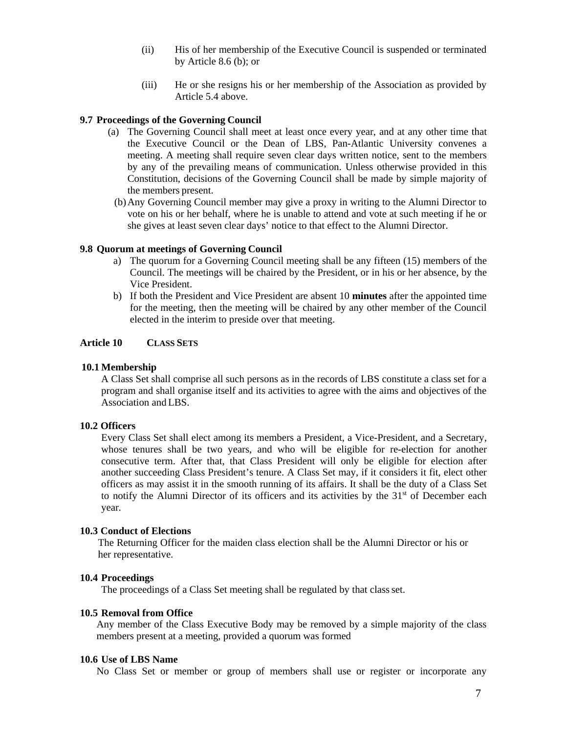- (ii) His of her membership of the Executive Council is suspended or terminated by Article 8.6 (b); or
- (iii) He or she resigns his or her membership of the Association as provided by Article 5.4 above.

#### **9.7 Proceedings of the Governing Council**

- (a) The Governing Council shall meet at least once every year, and at any other time that the Executive Council or the Dean of LBS, Pan-Atlantic University convenes a meeting. A meeting shall require seven clear days written notice, sent to the members by any of the prevailing means of communication. Unless otherwise provided in this Constitution, decisions of the Governing Council shall be made by simple majority of the members present.
	- (b)Any Governing Council member may give a proxy in writing to the Alumni Director to vote on his or her behalf, where he is unable to attend and vote at such meeting if he or she gives at least seven clear days' notice to that effect to the Alumni Director.

### **9.8 Quorum at meetings of Governing Council**

- a) The quorum for a Governing Council meeting shall be any fifteen (15) members of the Council. The meetings will be chaired by the President, or in his or her absence, by the Vice President.
- b) If both the President and Vice President are absent 10 **minutes** after the appointed time for the meeting, then the meeting will be chaired by any other member of the Council elected in the interim to preside over that meeting.

### **Article 10 CLASS SETS**

#### **10.1 Membership**

A Class Set shall comprise all such persons as in the records of LBS constitute a class set for a program and shall organise itself and its activities to agree with the aims and objectives of the Association and LBS.

#### **10.2 Officers**

Every Class Set shall elect among its members a President, a Vice-President, and a Secretary, whose tenures shall be two years, and who will be eligible for re-election for another consecutive term. After that, that Class President will only be eligible for election after another succeeding Class President's tenure. A Class Set may, if it considers it fit, elect other officers as may assist it in the smooth running of its affairs. It shall be the duty of a Class Set to notify the Alumni Director of its officers and its activities by the 31<sup>st</sup> of December each year*.*

#### **10.3 Conduct of Elections**

The Returning Officer for the maiden class election shall be the Alumni Director or his or her representative.

#### **10.4 Proceedings**

The proceedings of a Class Set meeting shall be regulated by that class set.

#### **10.5 Removal from Office**

Any member of the Class Executive Body may be removed by a simple majority of the class members present at a meeting, provided a quorum was formed

#### **10.6 Use of LBS Name**

No Class Set or member or group of members shall use or register or incorporate any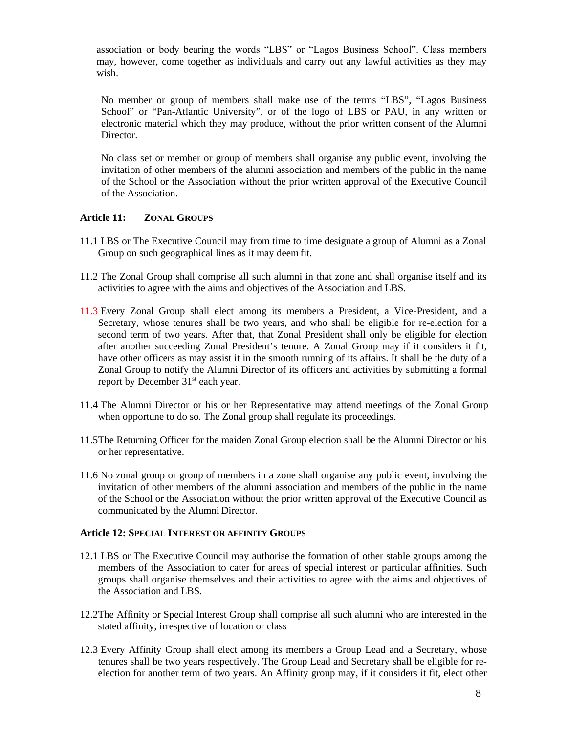association or body bearing the words "LBS" or "Lagos Business School". Class members may, however, come together as individuals and carry out any lawful activities as they may wish.

No member or group of members shall make use of the terms "LBS", "Lagos Business School" or "Pan-Atlantic University", or of the logo of LBS or PAU, in any written or electronic material which they may produce, without the prior written consent of the Alumni **Director** 

No class set or member or group of members shall organise any public event, involving the invitation of other members of the alumni association and members of the public in the name of the School or the Association without the prior written approval of the Executive Council of the Association.

### **Article 11: ZONAL GROUPS**

- 11.1 LBS or The Executive Council may from time to time designate a group of Alumni as a Zonal Group on such geographical lines as it may deem fit.
- 11.2 The Zonal Group shall comprise all such alumni in that zone and shall organise itself and its activities to agree with the aims and objectives of the Association and LBS.
- 11.3 Every Zonal Group shall elect among its members a President, a Vice-President, and a Secretary, whose tenures shall be two years, and who shall be eligible for re-election for a second term of two years. After that, that Zonal President shall only be eligible for election after another succeeding Zonal President's tenure. A Zonal Group may if it considers it fit, have other officers as may assist it in the smooth running of its affairs. It shall be the duty of a Zonal Group to notify the Alumni Director of its officers and activities by submitting a formal report by December 31<sup>st</sup> each year.
- 11.4 The Alumni Director or his or her Representative may attend meetings of the Zonal Group when opportune to do so*.* The Zonal group shall regulate its proceedings.
- 11.5The Returning Officer for the maiden Zonal Group election shall be the Alumni Director or his or her representative.
- 11.6 No zonal group or group of members in a zone shall organise any public event, involving the invitation of other members of the alumni association and members of the public in the name of the School or the Association without the prior written approval of the Executive Council as communicated by the Alumni Director.

#### **Article 12: SPECIAL INTEREST OR AFFINITY GROUPS**

- 12.1 LBS or The Executive Council may authorise the formation of other stable groups among the members of the Association to cater for areas of special interest or particular affinities. Such groups shall organise themselves and their activities to agree with the aims and objectives of the Association and LBS.
- 12.2The Affinity or Special Interest Group shall comprise all such alumni who are interested in the stated affinity, irrespective of location or class
- 12.3 Every Affinity Group shall elect among its members a Group Lead and a Secretary, whose tenures shall be two years respectively. The Group Lead and Secretary shall be eligible for reelection for another term of two years. An Affinity group may, if it considers it fit, elect other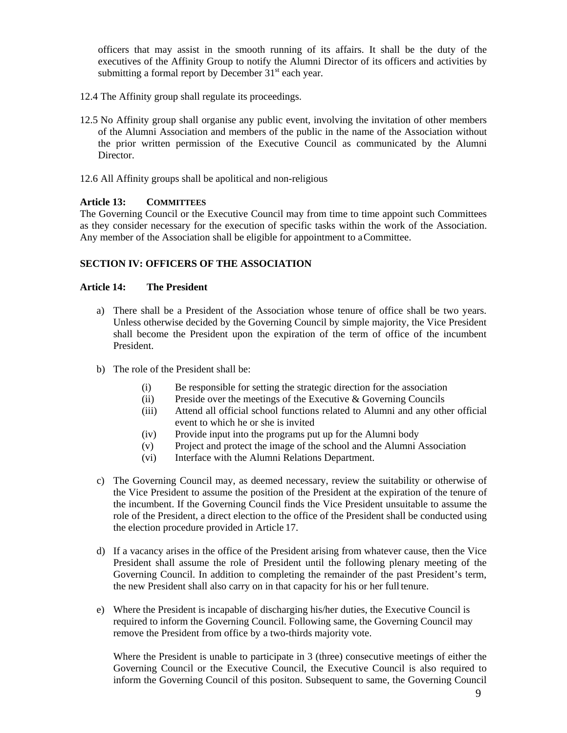officers that may assist in the smooth running of its affairs. It shall be the duty of the executives of the Affinity Group to notify the Alumni Director of its officers and activities by submitting a formal report by December  $31<sup>st</sup>$  each year.

- 12.4 The Affinity group shall regulate its proceedings.
- 12.5 No Affinity group shall organise any public event, involving the invitation of other members of the Alumni Association and members of the public in the name of the Association without the prior written permission of the Executive Council as communicated by the Alumni Director.
- 12.6 All Affinity groups shall be apolitical and non-religious

### **Article 13: COMMITTEES**

The Governing Council or the Executive Council may from time to time appoint such Committees as they consider necessary for the execution of specific tasks within the work of the Association. Any member of the Association shall be eligible for appointment to aCommittee.

### **SECTION IV: OFFICERS OF THE ASSOCIATION**

### **Article 14: The President**

- a) There shall be a President of the Association whose tenure of office shall be two years. Unless otherwise decided by the Governing Council by simple majority, the Vice President shall become the President upon the expiration of the term of office of the incumbent President.
- b) The role of the President shall be:
	- (i) Be responsible for setting the strategic direction for the association
	- (ii) Preside over the meetings of the Executive  $\&$  Governing Councils
	- (iii) Attend all official school functions related to Alumni and any other official event to which he or she is invited
	- (iv) Provide input into the programs put up for the Alumni body
	- (v) Project and protect the image of the school and the Alumni Association
	- (vi) Interface with the Alumni Relations Department.
- c) The Governing Council may, as deemed necessary, review the suitability or otherwise of the Vice President to assume the position of the President at the expiration of the tenure of the incumbent. If the Governing Council finds the Vice President unsuitable to assume the role of the President, a direct election to the office of the President shall be conducted using the election procedure provided in Article 17.
- d) If a vacancy arises in the office of the President arising from whatever cause, then the Vice President shall assume the role of President until the following plenary meeting of the Governing Council. In addition to completing the remainder of the past President's term, the new President shall also carry on in that capacity for his or her fulltenure.
- e) Where the President is incapable of discharging his/her duties, the Executive Council is required to inform the Governing Council. Following same, the Governing Council may remove the President from office by a two-thirds majority vote.

Where the President is unable to participate in 3 (three) consecutive meetings of either the Governing Council or the Executive Council, the Executive Council is also required to inform the Governing Council of this positon. Subsequent to same, the Governing Council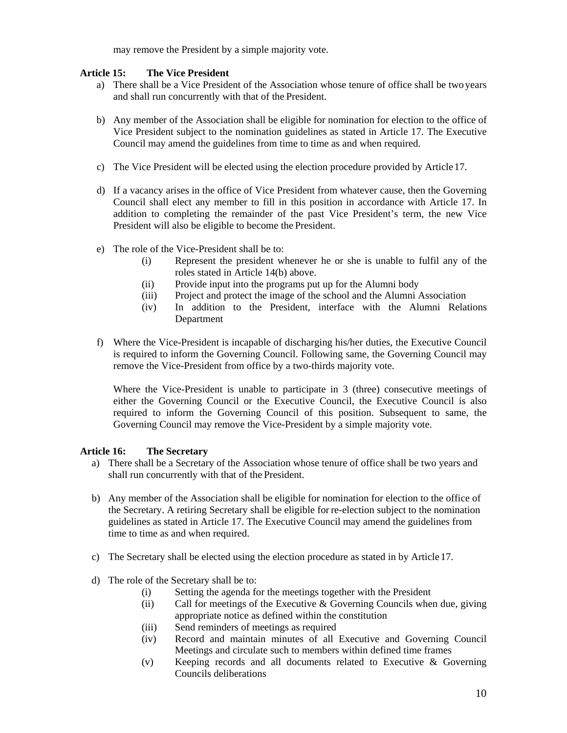may remove the President by a simple majority vote.

### **Article 15: The Vice President**

- a) There shall be a Vice President of the Association whose tenure of office shall be two years and shall run concurrently with that of the President.
- b) Any member of the Association shall be eligible for nomination for election to the office of Vice President subject to the nomination guidelines as stated in Article 17. The Executive Council may amend the guidelines from time to time as and when required*.*
- c) The Vice President will be elected using the election procedure provided by Article17.
- d) If a vacancy arises in the office of Vice President from whatever cause, then the Governing Council shall elect any member to fill in this position in accordance with Article 17. In addition to completing the remainder of the past Vice President's term, the new Vice President will also be eligible to become the President.
- e) The role of the Vice-President shall be to:
	- (i) Represent the president whenever he or she is unable to fulfil any of the roles stated in Article 14(b) above.
	- (ii) Provide input into the programs put up for the Alumni body
	- (iii) Project and protect the image of the school and the Alumni Association
	- (iv) In addition to the President, interface with the Alumni Relations Department
- f) Where the Vice-President is incapable of discharging his/her duties, the Executive Council is required to inform the Governing Council. Following same, the Governing Council may remove the Vice-President from office by a two-thirds majority vote.

Where the Vice-President is unable to participate in 3 (three) consecutive meetings of either the Governing Council or the Executive Council, the Executive Council is also required to inform the Governing Council of this position. Subsequent to same, the Governing Council may remove the Vice-President by a simple majority vote.

# **Article 16: The Secretary**

- a) There shall be a Secretary of the Association whose tenure of office shall be two years and shall run concurrently with that of the President.
- b) Any member of the Association shall be eligible for nomination for election to the office of the Secretary. A retiring Secretary shall be eligible for re-election subject to the nomination guidelines as stated in Article 17. The Executive Council may amend the guidelines from time to time as and when required.
- c) The Secretary shall be elected using the election procedure as stated in by Article17.
- d) The role of the Secretary shall be to:
	- (i) Setting the agenda for the meetings together with the President
	- (ii) Call for meetings of the Executive  $\&$  Governing Councils when due, giving appropriate notice as defined within the constitution
	- (iii) Send reminders of meetings as required
	- (iv) Record and maintain minutes of all Executive and Governing Council Meetings and circulate such to members within defined time frames
	- (v) Keeping records and all documents related to Executive & Governing Councils deliberations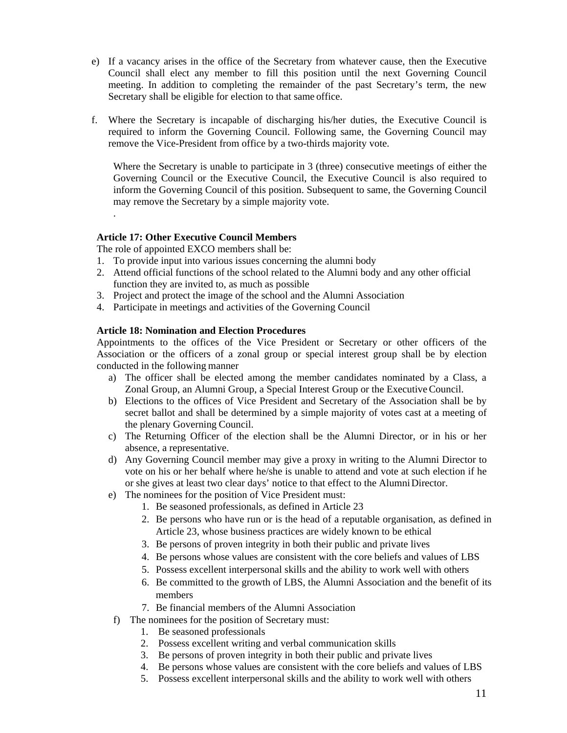- e) If a vacancy arises in the office of the Secretary from whatever cause, then the Executive Council shall elect any member to fill this position until the next Governing Council meeting. In addition to completing the remainder of the past Secretary's term, the new Secretary shall be eligible for election to that same office.
- f. Where the Secretary is incapable of discharging his/her duties, the Executive Council is required to inform the Governing Council. Following same, the Governing Council may remove the Vice-President from office by a two-thirds majority vote.

Where the Secretary is unable to participate in 3 (three) consecutive meetings of either the Governing Council or the Executive Council, the Executive Council is also required to inform the Governing Council of this position. Subsequent to same, the Governing Council may remove the Secretary by a simple majority vote.

### **Article 17: Other Executive Council Members**

The role of appointed EXCO members shall be:

.

- 1. To provide input into various issues concerning the alumni body
- 2. Attend official functions of the school related to the Alumni body and any other official function they are invited to, as much as possible
- 3. Project and protect the image of the school and the Alumni Association
- 4. Participate in meetings and activities of the Governing Council

#### **Article 18: Nomination and Election Procedures**

Appointments to the offices of the Vice President or Secretary or other officers of the Association or the officers of a zonal group or special interest group shall be by election conducted in the following manner

- a) The officer shall be elected among the member candidates nominated by a Class, a Zonal Group, an Alumni Group, a Special Interest Group or the ExecutiveCouncil.
- b) Elections to the offices of Vice President and Secretary of the Association shall be by secret ballot and shall be determined by a simple majority of votes cast at a meeting of the plenary Governing Council.
- c) The Returning Officer of the election shall be the Alumni Director, or in his or her absence, a representative.
- d) Any Governing Council member may give a proxy in writing to the Alumni Director to vote on his or her behalf where he/she is unable to attend and vote at such election if he or she gives at least two clear days' notice to that effect to the AlumniDirector.
- e) The nominees for the position of Vice President must:
	- 1. Be seasoned professionals, as defined in Article 23
	- 2. Be persons who have run or is the head of a reputable organisation, as defined in Article 23, whose business practices are widely known to be ethical
	- 3. Be persons of proven integrity in both their public and private lives
	- 4. Be persons whose values are consistent with the core beliefs and values of LBS
	- 5. Possess excellent interpersonal skills and the ability to work well with others
	- 6. Be committed to the growth of LBS, the Alumni Association and the benefit of its members
	- 7. Be financial members of the Alumni Association
	- f) The nominees for the position of Secretary must:
		- 1. Be seasoned professionals
		- 2. Possess excellent writing and verbal communication skills
		- 3. Be persons of proven integrity in both their public and private lives
		- 4. Be persons whose values are consistent with the core beliefs and values of LBS
		- 5. Possess excellent interpersonal skills and the ability to work well with others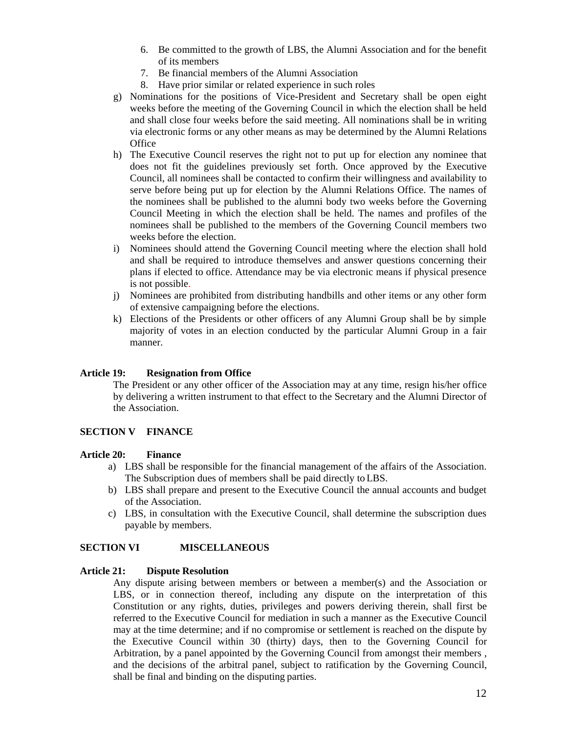- 6. Be committed to the growth of LBS, the Alumni Association and for the benefit of its members
- 7. Be financial members of the Alumni Association
- 8. Have prior similar or related experience in such roles
- g) Nominations for the positions of Vice-President and Secretary shall be open eight weeks before the meeting of the Governing Council in which the election shall be held and shall close four weeks before the said meeting. All nominations shall be in writing via electronic forms or any other means as may be determined by the Alumni Relations **Office**
- h) The Executive Council reserves the right not to put up for election any nominee that does not fit the guidelines previously set forth. Once approved by the Executive Council, all nominees shall be contacted to confirm their willingness and availability to serve before being put up for election by the Alumni Relations Office. The names of the nominees shall be published to the alumni body two weeks before the Governing Council Meeting in which the election shall be held. The names and profiles of the nominees shall be published to the members of the Governing Council members two weeks before the election.
- i) Nominees should attend the Governing Council meeting where the election shall hold and shall be required to introduce themselves and answer questions concerning their plans if elected to office. Attendance may be via electronic means if physical presence is not possible.
- j) Nominees are prohibited from distributing handbills and other items or any other form of extensive campaigning before the elections.
- k) Elections of the Presidents or other officers of any Alumni Group shall be by simple majority of votes in an election conducted by the particular Alumni Group in a fair manner.

### **Article 19: Resignation from Office**

The President or any other officer of the Association may at any time, resign his/her office by delivering a written instrument to that effect to the Secretary and the Alumni Director of the Association.

### **SECTION V FINANCE**

#### **Article 20: Finance**

- a) LBS shall be responsible for the financial management of the affairs of the Association. The Subscription dues of members shall be paid directly to LBS.
- b) LBS shall prepare and present to the Executive Council the annual accounts and budget of the Association.
- c) LBS, in consultation with the Executive Council, shall determine the subscription dues payable by members.

### **SECTION VI MISCELLANEOUS**

#### **Article 21: Dispute Resolution**

Any dispute arising between members or between a member(s) and the Association or LBS, or in connection thereof, including any dispute on the interpretation of this Constitution or any rights, duties, privileges and powers deriving therein, shall first be referred to the Executive Council for mediation in such a manner as the Executive Council may at the time determine; and if no compromise or settlement is reached on the dispute by the Executive Council within 30 (thirty) days, then to the Governing Council for Arbitration, by a panel appointed by the Governing Council from amongst their members , and the decisions of the arbitral panel, subject to ratification by the Governing Council, shall be final and binding on the disputing parties.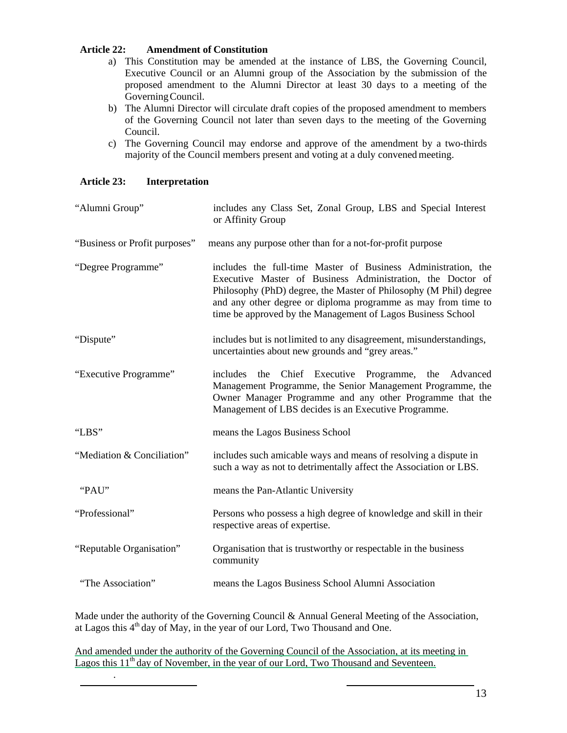### **Article 22: Amendment of Constitution**

- a) This Constitution may be amended at the instance of LBS, the Governing Council, Executive Council or an Alumni group of the Association by the submission of the proposed amendment to the Alumni Director at least 30 days to a meeting of the GoverningCouncil.
- b) The Alumni Director will circulate draft copies of the proposed amendment to members of the Governing Council not later than seven days to the meeting of the Governing Council.
- c) The Governing Council may endorse and approve of the amendment by a two-thirds majority of the Council members present and voting at a duly convened meeting.

# **Article 23: Interpretation**

.

| "Alumni Group"                | includes any Class Set, Zonal Group, LBS and Special Interest<br>or Affinity Group                                                                                                                                                                                                                                               |
|-------------------------------|----------------------------------------------------------------------------------------------------------------------------------------------------------------------------------------------------------------------------------------------------------------------------------------------------------------------------------|
| "Business or Profit purposes" | means any purpose other than for a not-for-profit purpose                                                                                                                                                                                                                                                                        |
| "Degree Programme"            | includes the full-time Master of Business Administration, the<br>Executive Master of Business Administration, the Doctor of<br>Philosophy (PhD) degree, the Master of Philosophy (M Phil) degree<br>and any other degree or diploma programme as may from time to<br>time be approved by the Management of Lagos Business School |
| "Dispute"                     | includes but is not limited to any disagreement, misunderstandings,<br>uncertainties about new grounds and "grey areas."                                                                                                                                                                                                         |
| "Executive Programme"         | the Chief Executive Programme, the Advanced<br>includes<br>Management Programme, the Senior Management Programme, the<br>Owner Manager Programme and any other Programme that the<br>Management of LBS decides is an Executive Programme.                                                                                        |
| "LBS"                         | means the Lagos Business School                                                                                                                                                                                                                                                                                                  |
| "Mediation & Conciliation"    | includes such amicable ways and means of resolving a dispute in<br>such a way as not to detrimentally affect the Association or LBS.                                                                                                                                                                                             |
| "PAU"                         | means the Pan-Atlantic University                                                                                                                                                                                                                                                                                                |
| "Professional"                | Persons who possess a high degree of knowledge and skill in their<br>respective areas of expertise.                                                                                                                                                                                                                              |
| "Reputable Organisation"      | Organisation that is trustworthy or respectable in the business<br>community                                                                                                                                                                                                                                                     |
| "The Association"             | means the Lagos Business School Alumni Association                                                                                                                                                                                                                                                                               |

Made under the authority of the Governing Council & Annual General Meeting of the Association, at Lagos this  $4<sup>th</sup>$  day of May, in the year of our Lord, Two Thousand and One.

And amended under the authority of the Governing Council of the Association, at its meeting in Lagos this  $11<sup>th</sup>$  day of November, in the year of our Lord, Two Thousand and Seventeen.